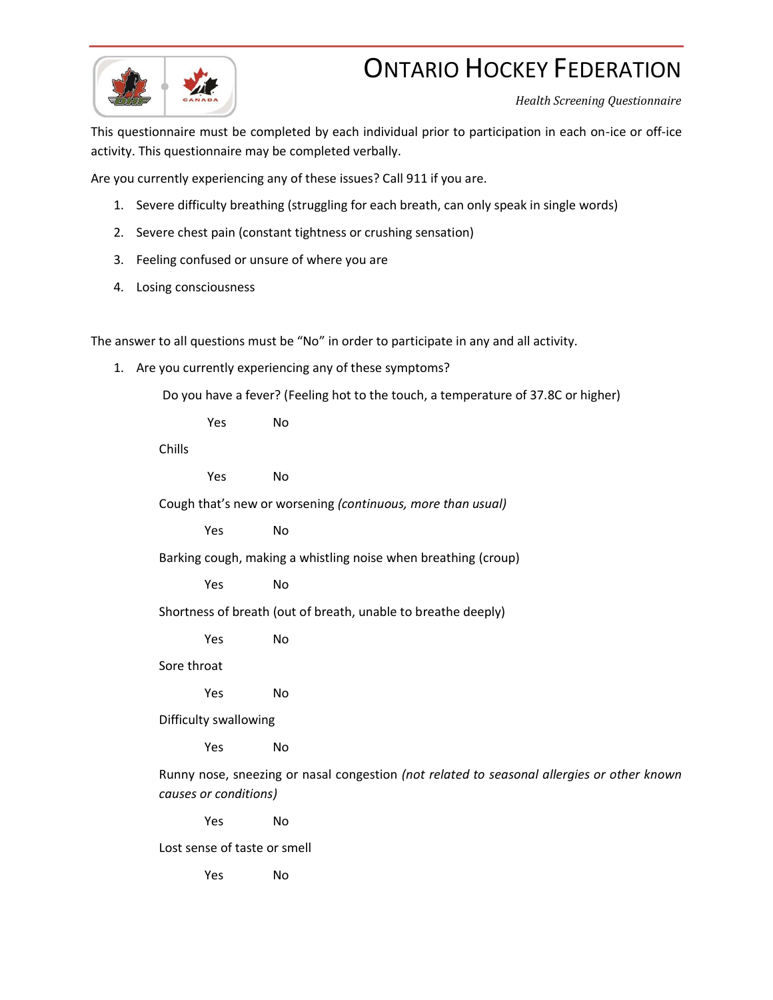## **ONTARIO HOCKEY FEDERATION**



*Health Screening Questionnaire*

This questionnaire must be completed by each individual prior to participation in each on-ice or off-ice activity. This questionnaire may be completed verbally.

Are you currently experiencing any of these issues? Call 911 if you are.

- 1. Severe difficulty breathing (struggling for each breath, can only speak in single words)
- 2. Severe chest pain (constant tightness or crushing sensation)
- 3. Feeling confused or unsure of where you are
- 4. Losing consciousness

The answer to all questions must be "No" in order to participate in any and all activity.

1. Are you currently experiencing any of these symptoms?

Do you have a fever? (Feeling hot to the touch, a temperature of 37.8C or higher)

Yes No

Chills

Yes No

Cough that's new or worsening *(continuous, more than usual)*

Yes No

Barking cough, making a whistling noise when breathing (croup)

Yes No

Shortness of breath (out of breath, unable to breathe deeply)

Yes No

Sore throat

Yes No

Difficulty swallowing

Yes No

Runny nose, sneezing or nasal congestion *(not related to seasonal allergies or other known causes or conditions)*

Yes No

Lost sense of taste or smell

Yes No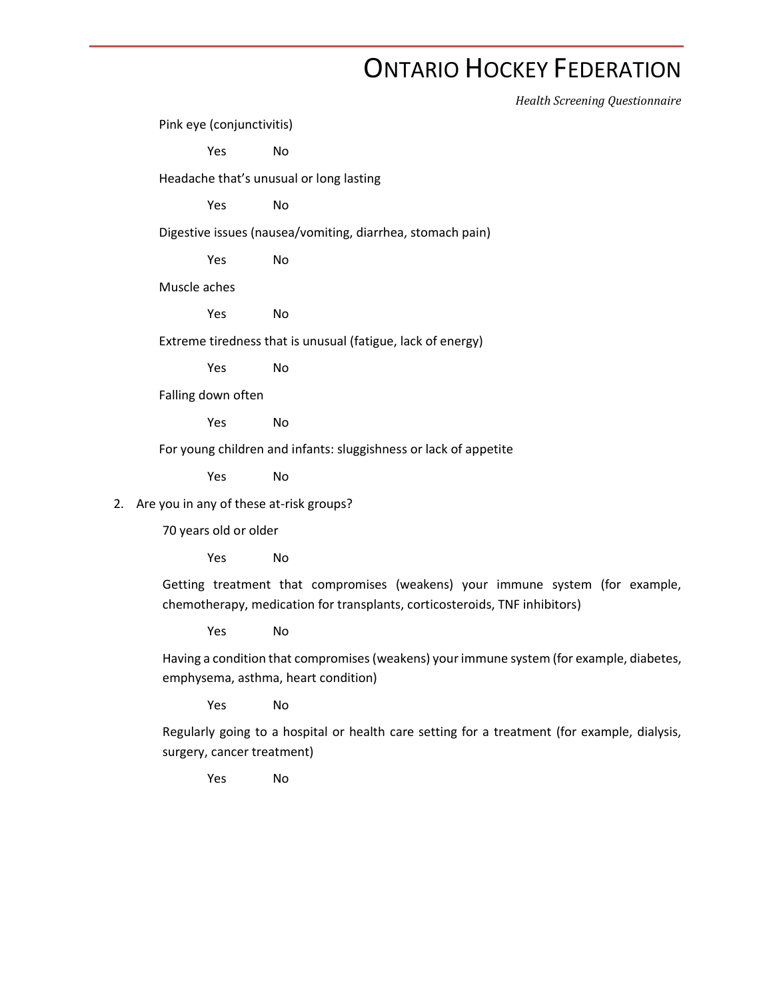## **ONTARIO HOCKEY FEDERATION**

*Health Screening Questionnaire*

Pink eye (conjunctivitis)

Yes No

Headache that's unusual or long lasting

Yes No

Digestive issues (nausea/vomiting, diarrhea, stomach pain)

Yes No

Muscle aches

Yes No

Extreme tiredness that is unusual (fatigue, lack of energy)

Yes No

Falling down often

Yes No

For young children and infants: sluggishness or lack of appetite

Yes No

2. Are you in any of these at-risk groups?

70 years old or older

Yes No

Getting treatment that compromises (weakens) your immune system (for example, chemotherapy, medication for transplants, corticosteroids, TNF inhibitors)

Yes No

Having a condition that compromises(weakens) your immune system (for example, diabetes, emphysema, asthma, heart condition)

Yes No

Regularly going to a hospital or health care setting for a treatment (for example, dialysis, surgery, cancer treatment)

Yes No